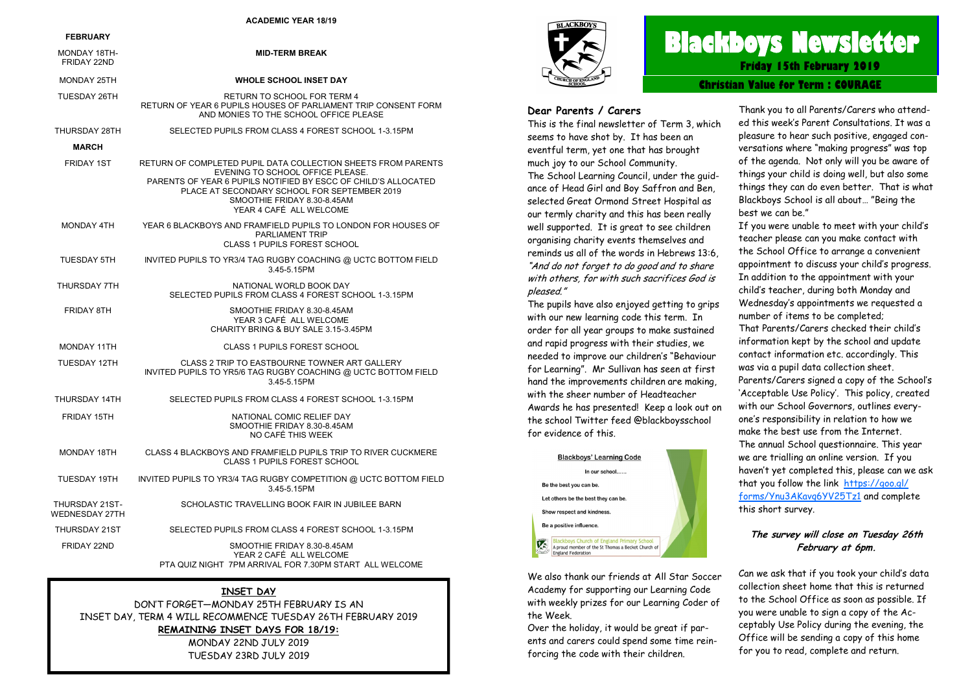#### **ACADEMIC YEAR 18/19**

| <b>FEBRUARY</b>                  |                                                                                                                                                                                                                                                                               |
|----------------------------------|-------------------------------------------------------------------------------------------------------------------------------------------------------------------------------------------------------------------------------------------------------------------------------|
| MONDAY 18TH-<br>FRIDAY 22ND      | <b>MID-TERM BREAK</b>                                                                                                                                                                                                                                                         |
| <b>MONDAY 25TH</b>               | <b>WHOLE SCHOOL INSET DAY</b>                                                                                                                                                                                                                                                 |
| <b>TUESDAY 26TH</b>              | <b>RETURN TO SCHOOL FOR TERM 4</b><br>RETURN OF YEAR 6 PUPILS HOUSES OF PARLIAMENT TRIP CONSENT FORM<br>AND MONIES TO THE SCHOOL OFFICE PLEASE                                                                                                                                |
| THURSDAY 28TH                    | SELECTED PUPILS FROM CLASS 4 FOREST SCHOOL 1-3.15PM                                                                                                                                                                                                                           |
| <b>MARCH</b>                     |                                                                                                                                                                                                                                                                               |
| FRIDAY 1ST                       | RETURN OF COMPLETED PUPIL DATA COLLECTION SHEETS FROM PARENTS<br>EVENING TO SCHOOL OFFICE PLEASE.<br>PARENTS OF YEAR 6 PUPILS NOTIFIED BY ESCC OF CHILD'S ALLOCATED<br>PLACE AT SECONDARY SCHOOL FOR SEPTEMBER 2019<br>SMOOTHIE FRIDAY 8.30-8.45AM<br>YEAR 4 CAFÉ ALL WELCOME |
| MONDAY 4TH                       | YEAR 6 BLACKBOYS AND FRAMFIELD PUPILS TO LONDON FOR HOUSES OF<br><b>PARLIAMENT TRIP</b><br><b>CLASS 1 PUPILS FOREST SCHOOL</b>                                                                                                                                                |
| <b>TUESDAY 5TH</b>               | INVITED PUPILS TO YR3/4 TAG RUGBY COACHING @ UCTC BOTTOM FIELD<br>3.45-5.15PM                                                                                                                                                                                                 |
| THURSDAY 7TH                     | NATIONAL WORLD BOOK DAY<br>SELECTED PUPILS FROM CLASS 4 FOREST SCHOOL 1-3.15PM                                                                                                                                                                                                |
| FRIDAY 8TH                       | SMOOTHIE FRIDAY 8.30-8.45AM<br>YEAR 3 CAFÉ ALL WELCOME<br>CHARITY BRING & BUY SALE 3.15-3.45PM                                                                                                                                                                                |
| MONDAY 11TH                      | <b>CLASS 1 PUPILS FOREST SCHOOL</b>                                                                                                                                                                                                                                           |
| TUESDAY 12TH                     | CLASS 2 TRIP TO EASTBOURNE TOWNER ART GALLERY<br>INVITED PUPILS TO YR5/6 TAG RUGBY COACHING @ UCTC BOTTOM FIELD<br>3.45-5.15PM                                                                                                                                                |
| THURSDAY 14TH                    | SELECTED PUPILS FROM CLASS 4 FOREST SCHOOL 1-3.15PM                                                                                                                                                                                                                           |
| FRIDAY 15TH                      | NATIONAL COMIC RELIEF DAY<br>SMOOTHIE FRIDAY 8.30-8.45AM<br>NO CAFÉ THIS WEEK                                                                                                                                                                                                 |
| MONDAY 18TH                      | CLASS 4 BLACKBOYS AND FRAMFIELD PUPILS TRIP TO RIVER CUCKMERE<br><b>CLASS 1 PUPILS FOREST SCHOOL</b>                                                                                                                                                                          |
| TUESDAY 19TH                     | INVITED PUPILS TO YR3/4 TAG RUGBY COMPETITION @ UCTC BOTTOM FIELD<br>3.45-5.15PM                                                                                                                                                                                              |
| THURSDAY 21ST-<br>WEDNESDAY 27TH | SCHOLASTIC TRAVELLING BOOK FAIR IN JUBILEE BARN                                                                                                                                                                                                                               |
| THURSDAY 21ST                    | SELECTED PUPILS FROM CLASS 4 FOREST SCHOOL 1-3.15PM                                                                                                                                                                                                                           |
| FRIDAY 22ND                      | SMOOTHIE FRIDAY 8.30-8.45AM<br>YEAR 2 CAFÉ ALL WELCOME<br>PTA QUIZ NIGHT 7PM ARRIVAL FOR 7 30PM START ALL WELCOME                                                                                                                                                             |

#### **INSET DAY**

DON'T FORGET—MONDAY 25TH FEBRUARY IS AN INSET DAY, TERM 4 WILL RECOMMENCE TUESDAY 26TH FEBRUARY 2019 **REMAINING INSET DAYS FOR 18/19:** MONDAY 22ND JULY 2019 TUESDAY 23RD JULY 2019



# **Blackboys Newsletter Friday 15th February 2019**

**Christian Value for Term : COURAGE**

#### **Dear Parents / Carers**

This is the final newsletter of Term 3, which seems to have shot by. It has been an eventful term, yet one that has brought much joy to our School Community. The School Learning Council, under the guidance of Head Girl and Boy Saffron and Ben, selected Great Ormond Street Hospital as our termly charity and this has been really well supported. It is great to see children organising charity events themselves and reminds us all of the words in Hebrews 13:6, "And do not forget to do good and to share with others, for with such sacrifices God is pleased."

The pupils have also enjoyed getting to grips with our new learning code this term. In order for all year groups to make sustained and rapid progress with their studies, we needed to improve our children's "Behaviour for Learning". Mr Sullivan has seen at first hand the improvements children are making, with the sheer number of Headteacher Awards he has presented! Keep a look out on the school Twitter feed @blackboysschool for evidence of this.



We also thank our friends at All Star Soccer Academy for supporting our Learning Code with weekly prizes for our Learning Coder of the Week.

Over the holiday, it would be great if parents and carers could spend some time reinforcing the code with their children.

Thank you to all Parents/Carers who attended this week's Parent Consultations. It was a pleasure to hear such positive, engaged conversations where "making progress" was top of the agenda. Not only will you be aware of things your child is doing well, but also some things they can do even better. That is what Blackboys School is all about… "Being the best we can be."

If you were unable to meet with your child's teacher please can you make contact with the School Office to arrange a convenient appointment to discuss your child's progress. In addition to the appointment with your child's teacher, during both Monday and Wednesday's appointments we requested a number of items to be completed; That Parents/Carers checked their child's information kept by the school and update contact information etc. accordingly. This was via a pupil data collection sheet. Parents/Carers signed a copy of the School's 'Acceptable Use Policy'. This policy, created with our School Governors, outlines everyone's responsibility in relation to how we make the best use from the Internet. The annual School questionnaire. This year we are trialling an online version. If you haven't yet completed this, please can we ask that you follow the link [https://goo.gl/](https://goo.gl/forms/Ynu3AKavq6YV25Tz1) [forms/Ynu3AKavq6YV25Tz1](https://goo.gl/forms/Ynu3AKavq6YV25Tz1) and complete this short survey.

#### **The survey will close on Tuesday 26th February at 6pm.**

Can we ask that if you took your child's data collection sheet home that this is returned to the School Office as soon as possible. If you were unable to sign a copy of the Acceptably Use Policy during the evening, the Office will be sending a copy of this home for you to read, complete and return.